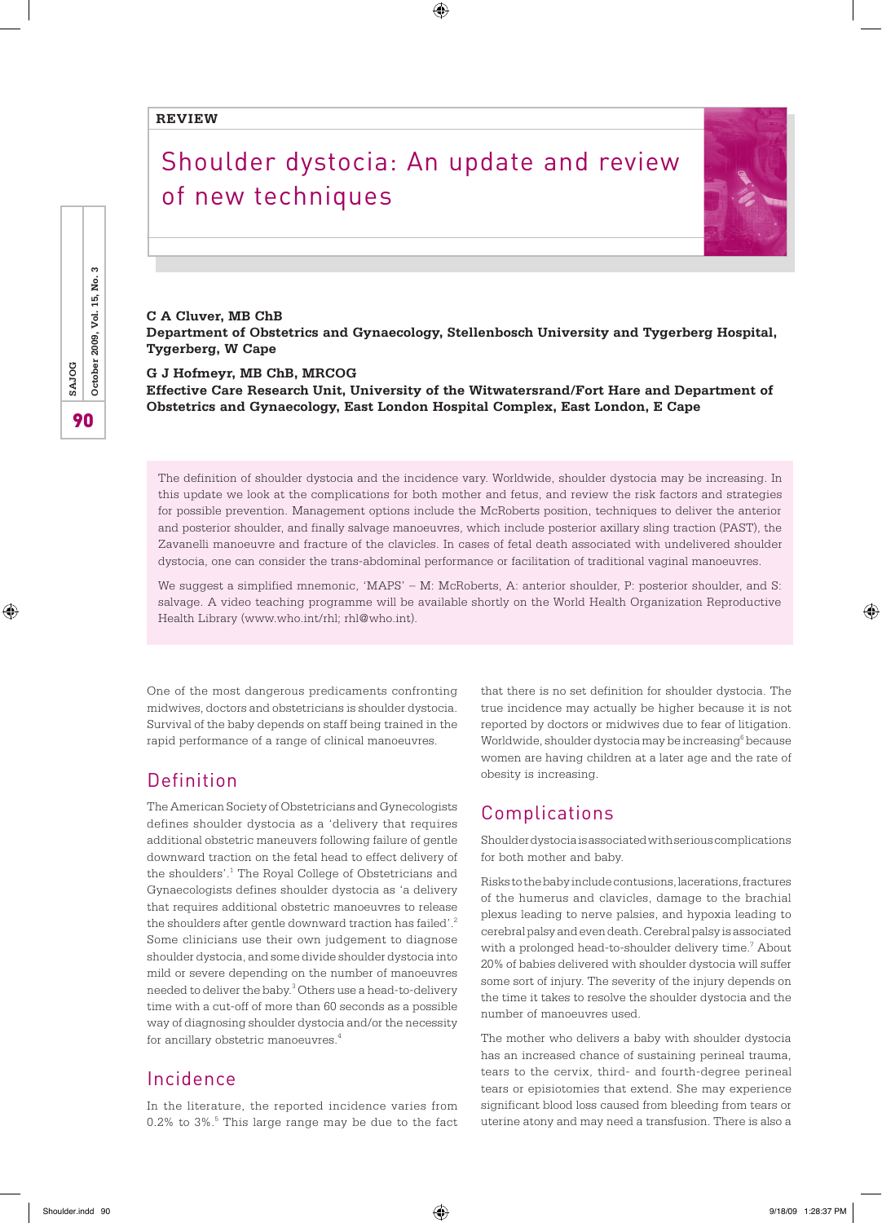#### **REVIEW**

# Shoulder dystocia: An update and review of new techniques

 $\bigoplus$ 



**C A Cluver, MB ChB Department of Obstetrics and Gynaecology, Stellenbosch University and Tygerberg Hospital, Tygerberg, W Cape**

**G J Hofmeyr, MB ChB, MRCOG**

**Effective Care Research Unit, University of the Witwatersrand/Fort Hare and Department of Obstetrics and Gynaecology, East London Hospital Complex, East London, E Cape**

The definition of shoulder dystocia and the incidence vary. Worldwide, shoulder dystocia may be increasing. In this update we look at the complications for both mother and fetus, and review the risk factors and strategies for possible prevention. Management options include the McRoberts position, techniques to deliver the anterior and posterior shoulder, and finally salvage manoeuvres, which include posterior axillary sling traction (PAST), the Zavanelli manoeuvre and fracture of the clavicles. In cases of fetal death associated with undelivered shoulder dystocia, one can consider the trans-abdominal performance or facilitation of traditional vaginal manoeuvres.

We suggest a simplified mnemonic, 'MAPS' – M: McRoberts, A: anterior shoulder, P: posterior shoulder, and S: salvage. A video teaching programme will be available shortly on the World Health Organization Reproductive Health Library (www.who.int/rhl; rhl@who.int).

One of the most dangerous predicaments confronting midwives, doctors and obstetricians is shoulder dystocia. Survival of the baby depends on staff being trained in the rapid performance of a range of clinical manoeuvres.

# Definition

The American Society of Obstetricians and Gynecologists defines shoulder dystocia as a 'delivery that requires additional obstetric maneuvers following failure of gentle downward traction on the fetal head to effect delivery of the shoulders'.<sup>1</sup> The Royal College of Obstetricians and Gynaecologists defines shoulder dystocia as 'a delivery that requires additional obstetric manoeuvres to release the shoulders after gentle downward traction has failed'.<sup>2</sup> Some clinicians use their own judgement to diagnose shoulder dystocia, and some divide shoulder dystocia into mild or severe depending on the number of manoeuvres needed to deliver the baby.<sup>3</sup> Others use a head-to-delivery time with a cut-off of more than 60 seconds as a possible way of diagnosing shoulder dystocia and/or the necessity for ancillary obstetric manoeuvres.4

## Incidence

In the literature, the reported incidence varies from 0.2% to 3%.<sup>5</sup> This large range may be due to the fact that there is no set definition for shoulder dystocia. The true incidence may actually be higher because it is not reported by doctors or midwives due to fear of litigation. Worldwide, shoulder dystocia may be increasing<sup>6</sup> because women are having children at a later age and the rate of obesity is increasing.

## Complications

Shoulder dystocia is associated with serious complications for both mother and baby.

Risks to the baby include contusions, lacerations, fractures of the humerus and clavicles, damage to the brachial plexus leading to nerve palsies, and hypoxia leading to cerebral palsy and even death. Cerebral palsy is associated with a prolonged head-to-shoulder delivery time.<sup>7</sup> About 20% of babies delivered with shoulder dystocia will suffer some sort of injury. The severity of the injury depends on the time it takes to resolve the shoulder dystocia and the number of manoeuvres used.

The mother who delivers a baby with shoulder dystocia has an increased chance of sustaining perineal trauma, tears to the cervix, third- and fourth-degree perineal tears or episiotomies that extend. She may experience significant blood loss caused from bleeding from tears or uterine atony and may need a transfusion. There is also a

က 90**SAJOG October 2009, Vol. 15, No. 3** ρġ October 2009, Vol. 15, SAJOG 90

⊕

Shoulder.indd 90 9/18/09 1:28:37 PM

⊕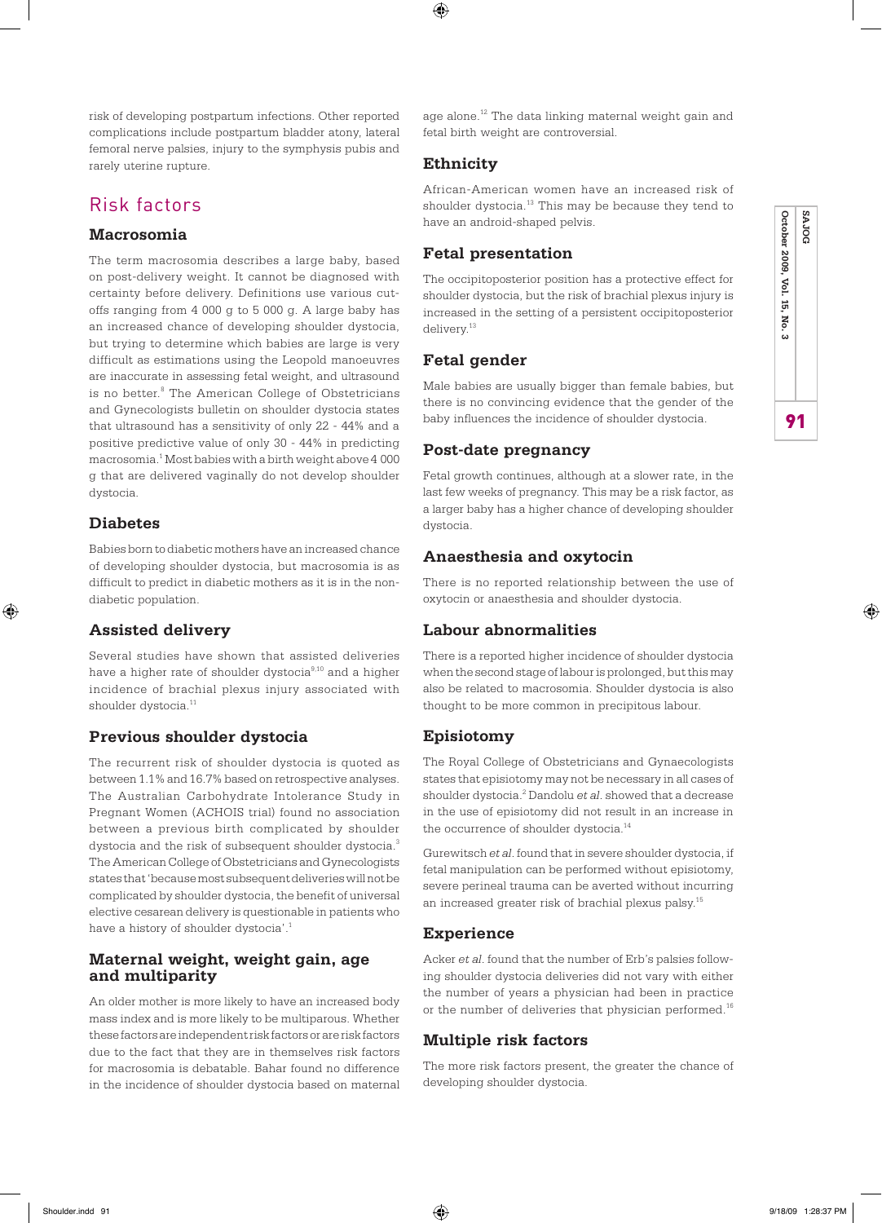risk of developing postpartum infections. Other reported complications include postpartum bladder atony, lateral femoral nerve palsies, injury to the symphysis pubis and rarely uterine rupture.

# Risk factors

#### **Macrosomia**

The term macrosomia describes a large baby, based on post-delivery weight. It cannot be diagnosed with certainty before delivery. Definitions use various cutoffs ranging from 4 000 g to 5 000 g. A large baby has an increased chance of developing shoulder dystocia, but trying to determine which babies are large is very difficult as estimations using the Leopold manoeuvres are inaccurate in assessing fetal weight, and ultrasound is no better.<sup>8</sup> The American College of Obstetricians and Gynecologists bulletin on shoulder dystocia states that ultrasound has a sensitivity of only 22 - 44% and a positive predictive value of only 30 - 44% in predicting macrosomia.1 Most babies with a birth weight above 4 000 g that are delivered vaginally do not develop shoulder dystocia.

#### **Diabetes**

⊕

Babies born to diabetic mothers have an increased chance of developing shoulder dystocia, but macrosomia is as difficult to predict in diabetic mothers as it is in the nondiabetic population.

#### **Assisted delivery**

Several studies have shown that assisted deliveries have a higher rate of shoulder dystocia<sup>9,10</sup> and a higher incidence of brachial plexus injury associated with shoulder dystocia.<sup>11</sup>

#### **Previous shoulder dystocia**

The recurrent risk of shoulder dystocia is quoted as between 1.1% and 16.7% based on retrospective analyses. The Australian Carbohydrate Intolerance Study in Pregnant Women (ACHOIS trial) found no association between a previous birth complicated by shoulder dystocia and the risk of subsequent shoulder dystocia.<sup>3</sup> The American College of Obstetricians and Gynecologists states that 'because most subsequent deliveries will not be complicated by shoulder dystocia, the benefit of universal elective cesarean delivery is questionable in patients who have a history of shoulder dystocia'.<sup>1</sup>

#### **Maternal weight, weight gain, age and multiparity**

An older mother is more likely to have an increased body mass index and is more likely to be multiparous. Whether these factors are independent risk factors or are risk factors due to the fact that they are in themselves risk factors for macrosomia is debatable. Bahar found no difference in the incidence of shoulder dystocia based on maternal

age alone.<sup>12</sup> The data linking maternal weight gain and fetal birth weight are controversial.

#### **Ethnicity**

⊕

African-American women have an increased risk of shoulder dystocia.<sup>13</sup> This may be because they tend to have an android-shaped pelvis.

#### **Fetal presentation**

The occipitoposterior position has a protective effect for shoulder dystocia, but the risk of brachial plexus injury is increased in the setting of a persistent occipitoposterior delivery.<sup>13</sup>

#### **Fetal gender**

Male babies are usually bigger than female babies, but there is no convincing evidence that the gender of the baby influences the incidence of shoulder dystocia.

#### **Post-date pregnancy**

Fetal growth continues, although at a slower rate, in the last few weeks of pregnancy. This may be a risk factor, as a larger baby has a higher chance of developing shoulder dystocia.

## **Anaesthesia and oxytocin**

There is no reported relationship between the use of oxytocin or anaesthesia and shoulder dystocia.

#### **Labour abnormalities**

There is a reported higher incidence of shoulder dystocia when the second stage of labour is prolonged, but this may also be related to macrosomia. Shoulder dystocia is also thought to be more common in precipitous labour.

#### **Episiotomy**

The Royal College of Obstetricians and Gynaecologists states that episiotomy may not be necessary in all cases of shoulder dystocia.2 Dandolu *et al*. showed that a decrease in the use of episiotomy did not result in an increase in the occurrence of shoulder dystocia.<sup>14</sup>

Gurewitsch *et al*. found that in severe shoulder dystocia, if fetal manipulation can be performed without episiotomy, severe perineal trauma can be averted without incurring an increased greater risk of brachial plexus palsy.15

#### **Experience**

Acker *et al*. found that the number of Erb's palsies following shoulder dystocia deliveries did not vary with either the number of years a physician had been in practice or the number of deliveries that physician performed.<sup>16</sup>

#### **Multiple risk factors**

The more risk factors present, the greater the chance of developing shoulder dystocia.

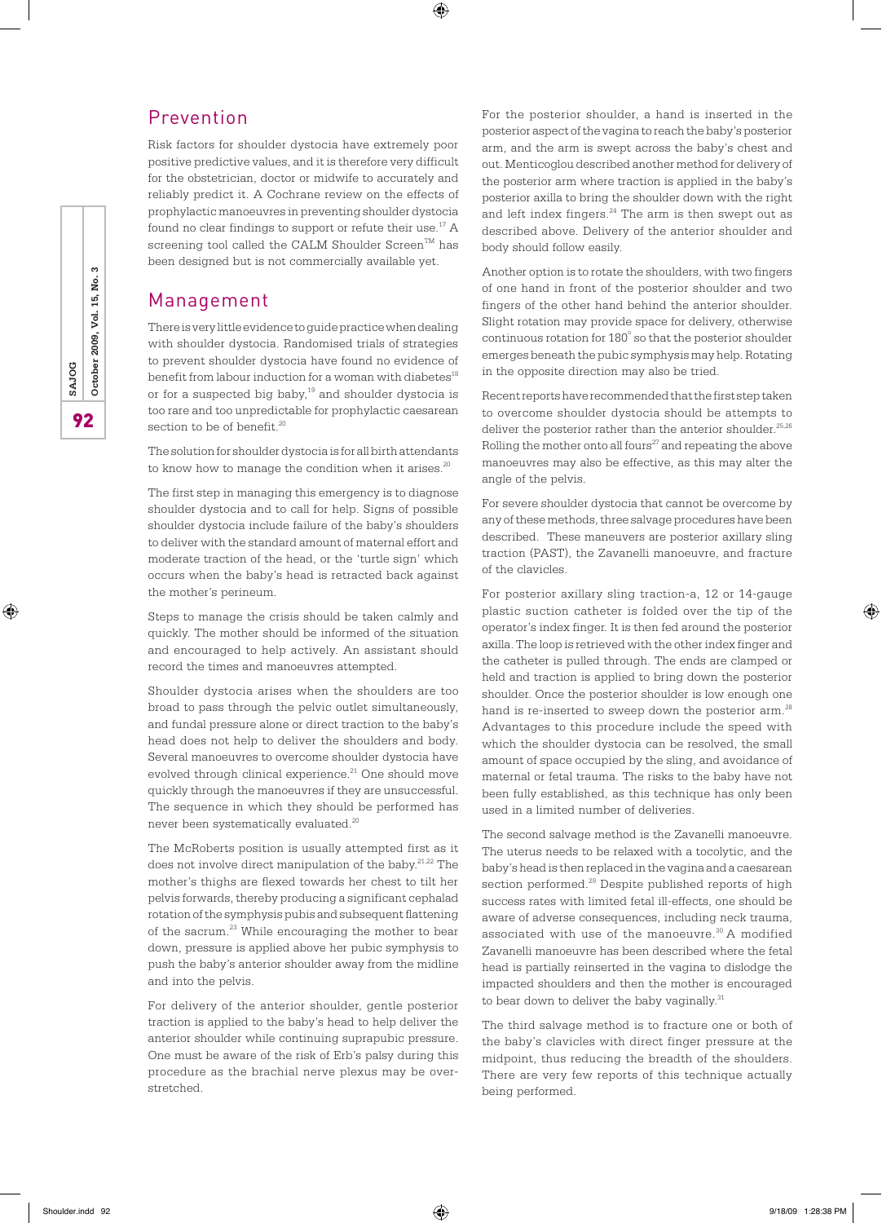# Prevention

Risk factors for shoulder dystocia have extremely poor positive predictive values, and it is therefore very difficult for the obstetrician, doctor or midwife to accurately and reliably predict it. A Cochrane review on the effects of prophylactic manoeuvres in preventing shoulder dystocia found no clear findings to support or refute their use.<sup>17</sup> A screening tool called the CALM Shoulder Screen<sup>TM</sup> has been designed but is not commercially available yet.

⊕

## Management

There is very little evidence to guide practice when dealing with shoulder dystocia. Randomised trials of strategies to prevent shoulder dystocia have found no evidence of benefit from labour induction for a woman with diabetes<sup>18</sup> or for a suspected big baby,<sup>19</sup> and shoulder dystocia is too rare and too unpredictable for prophylactic caesarean section to be of benefit.<sup>20</sup>

The solution for shoulder dystocia is for all birth attendants to know how to manage the condition when it arises. $20$ 

The first step in managing this emergency is to diagnose shoulder dystocia and to call for help. Signs of possible shoulder dystocia include failure of the baby's shoulders to deliver with the standard amount of maternal effort and moderate traction of the head, or the 'turtle sign' which occurs when the baby's head is retracted back against the mother's perineum.

Steps to manage the crisis should be taken calmly and quickly. The mother should be informed of the situation and encouraged to help actively. An assistant should record the times and manoeuvres attempted.

Shoulder dystocia arises when the shoulders are too broad to pass through the pelvic outlet simultaneously, and fundal pressure alone or direct traction to the baby's head does not help to deliver the shoulders and body. Several manoeuvres to overcome shoulder dystocia have evolved through clinical experience. $21$  One should move quickly through the manoeuvres if they are unsuccessful. The sequence in which they should be performed has never been systematically evaluated.<sup>20</sup>

The McRoberts position is usually attempted first as it does not involve direct manipulation of the baby.<sup>21,22</sup> The mother's thighs are flexed towards her chest to tilt her pelvis forwards, thereby producing a significant cephalad rotation of the symphysis pubis and subsequent flattening of the sacrum.<sup>23</sup> While encouraging the mother to bear down, pressure is applied above her pubic symphysis to push the baby's anterior shoulder away from the midline and into the pelvis.

For delivery of the anterior shoulder, gentle posterior traction is applied to the baby's head to help deliver the anterior shoulder while continuing suprapubic pressure. One must be aware of the risk of Erb's palsy during this procedure as the brachial nerve plexus may be overstretched.

For the posterior shoulder, a hand is inserted in the posterior aspect of the vagina to reach the baby's posterior arm, and the arm is swept across the baby's chest and out. Menticoglou described another method for delivery of the posterior arm where traction is applied in the baby's posterior axilla to bring the shoulder down with the right and left index fingers.<sup>24</sup> The arm is then swept out as described above. Delivery of the anterior shoulder and body should follow easily.

Another option is to rotate the shoulders, with two fingers of one hand in front of the posterior shoulder and two fingers of the other hand behind the anterior shoulder. Slight rotation may provide space for delivery, otherwise continuous rotation for  $180^\circ$  so that the posterior shoulder emerges beneath the pubic symphysis may help. Rotating in the opposite direction may also be tried.

Recent reports have recommended that the first step taken to overcome shoulder dystocia should be attempts to deliver the posterior rather than the anterior shoulder. $^{25,26}$ Rolling the mother onto all fours<sup>27</sup> and repeating the above manoeuvres may also be effective, as this may alter the angle of the pelvis.

For severe shoulder dystocia that cannot be overcome by any of these methods, three salvage procedures have been described. These maneuvers are posterior axillary sling traction (PAST), the Zavanelli manoeuvre, and fracture of the clavicles.

For posterior axillary sling traction-a, 12 or 14-gauge plastic suction catheter is folded over the tip of the operator's index finger. It is then fed around the posterior axilla. The loop is retrieved with the other index finger and the catheter is pulled through. The ends are clamped or held and traction is applied to bring down the posterior shoulder. Once the posterior shoulder is low enough one hand is re-inserted to sweep down the posterior arm.<sup>28</sup> Advantages to this procedure include the speed with which the shoulder dystocia can be resolved, the small amount of space occupied by the sling, and avoidance of maternal or fetal trauma. The risks to the baby have not been fully established, as this technique has only been used in a limited number of deliveries.

The second salvage method is the Zavanelli manoeuvre. The uterus needs to be relaxed with a tocolytic, and the baby's head is then replaced in the vagina and a caesarean section performed.<sup>29</sup> Despite published reports of high success rates with limited fetal ill-effects, one should be aware of adverse consequences, including neck trauma, associated with use of the manoeuvre.<sup>30</sup> A modified Zavanelli manoeuvre has been described where the fetal head is partially reinserted in the vagina to dislodge the impacted shoulders and then the mother is encouraged to bear down to deliver the baby vaginally.<sup>31</sup>

The third salvage method is to fracture one or both of the baby's clavicles with direct finger pressure at the midpoint, thus reducing the breadth of the shoulders. There are very few reports of this technique actually being performed.

S 92**SAJOG October 2009, Vol. 15, No. 3** ρġ October 2009, Vol. 15, SAJOG 92

⊕

♠